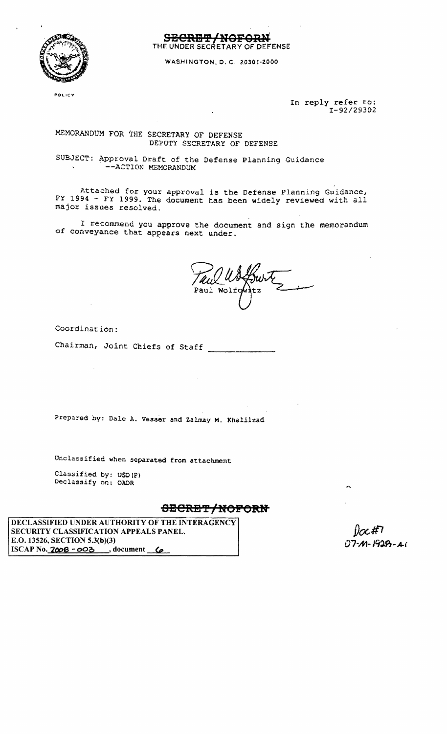

**SBCRS'P/!IOFORH** THE: UNDER SECRETARY OF DEFENSE

WASHINGTON. O. C. 2030t-2000

**POLICY** 

In reply refer to: I-92/29302

### MEMORANDUM FOR THE SECRETARY OF DEFENSE DEPUTY SECRETARY OF DEFENSE

SUBJECT: Approval Draft of the Defense Planning Guidance --ACTION MEMORANDUM

Attached for your approval is the Defense Planning Guidance, FY 1994 - FY 1999. The document has been widely reviewed with all major issues resolved.

I recommend you approve the document and sign the memorandum of conveyance that appears next under.

Paul Wolfg

Coordination:

Chairman, Joint Chiefs of Staff ------~

Prepared by: Dale A. Vesser and Zalmay M. Khalilzad

Unclassified when separated from attachment

Classified by: USD(P) Declassify on: OADR

## **9BCREY/HOPOlUf**

DECLASSIFIED UNDER AUTHORITY OF THE INTERAGENCY SECURITY CLASSIFICATION APPEALS PANEL. E.O. 13526, SECTION 5.3(b)(3) ISCAP No. **'ZOOS - 000** , document **(p** 

07-M-1928-AI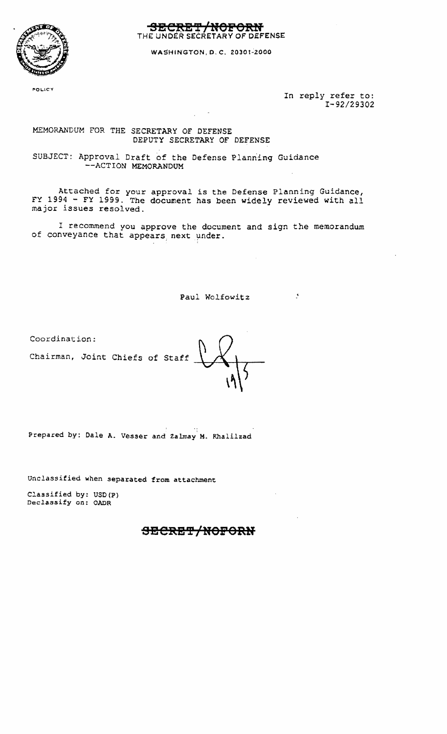

THE UNDER SECRETARY OF DEFENSE

WASHINGTON. 0. C. 2030t~ZOOO

POLICY

In reply refer to: *I-92/29302* 

 $\sim 10^{-11}$ 

### MEMORANDUM FOR THE SECRETARY OF DEFENSE DEPUTY SECRETARY OF DEFENSE

SUBJECT: Approval Draft of the Defense Planning Guidance --ACTION MEMORANDUM

Attached for your approval is the Defense Planning Guidance, FY 1994 - FY 1999. The document has been widely reviewed with all major issues resolved.

I recommend you approve the document and sign the memorandum of conveyance that appears next under.

Paul Wolfowitz

Coordination:

Chairman, Joint Chiefs of Staff

Prepared by: Dale A. Vesser and Zalmay M. Khalilzad

Unclassified when separated from attachment

Classified by: USD(P) Declassify on: OADR

# <del>SECRET/NOFORN</del>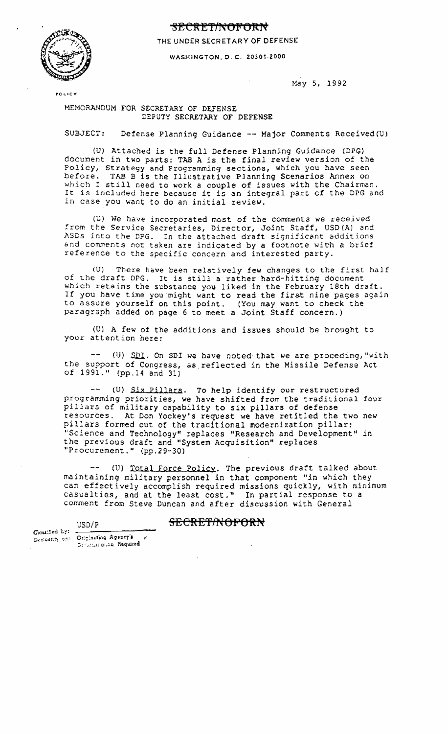### **gEC ft :ET/f'< Of'? OftN**



THE UNDER SECRETARY OF DEFENSE

WASHINGTON. O. C. 2030t·2000

May 5, 1992

**POLICY** 

MEMORANDUM FOR SECRETARY OF DEFENSE DEPUTY SECRETARY OF DEFENSE

SUBJECT: Defense Planning Guidance **--** Major Comments Received(U)

tU) Attached is the full Defense Planning Guidance (DPG) document in two parts: TAB A is the final review version of the Policy, Strategy and Programming sections, which you have seen before. TAB B is the Illustrative Planning Scenarios Annex on which I still need to work a couple of issues with the Chairman. It is included here because it is an integral part of the DPG and in case you want to do an initial review.

(U) We have incorporated most of the comments we received from the Service Secretaries, Director, Joint Staff, USD(A) and ASDs into the DPG. In the attached draft significant additions and comments not taken are indicated by a footnote with a brief reference to the specific concern and interested party.

(U) There have been relatively few changes to the first half of Lhe draft DPG. It is still a rather hard-hitting document which retains the substance you liked in the February 18th draft. If you have time you might want to read the first nine pages again to assure yourself on this point. (You may want to check the paragraph added on page 6 to meet a Joint Staff concern.)

(U) A few of the additions and issues should be brought to your attention here:

 $-$  (U) SDI. On SDI we have noted that we are proceding, "with the support of Congress, aS,reflected in the Missile Defense Act of 1991." (pp.14 and 31)

(U) Six Pillars. To help identify our restructured  $\frac{1}{2}$  and  $\frac{1}{2}$ programming priorities, we have shifted from the traditional four pillars of military capability to six pillars of defense resources. At Don Yockey's request we have retitled the two new pillars formed out of the traditional modernization pillar: "Science and Technology" replaces "Research and Development" in the previous draft and "System Acquisition" replaces "Procurement." (pp.29-30)

-- (U) Total Force Policy. The previous draft talked about maintaining military personnel in that component "in which they can effectively accomplish required missions quickly, with minimum casualties, and at the least cost." In partial response to a comment from Steve Duncan and after discussion with General

SECRET/NOFORN

Clossified by: .

Declossity on: Originating Agency's De Francoilen Required

 $USD/P$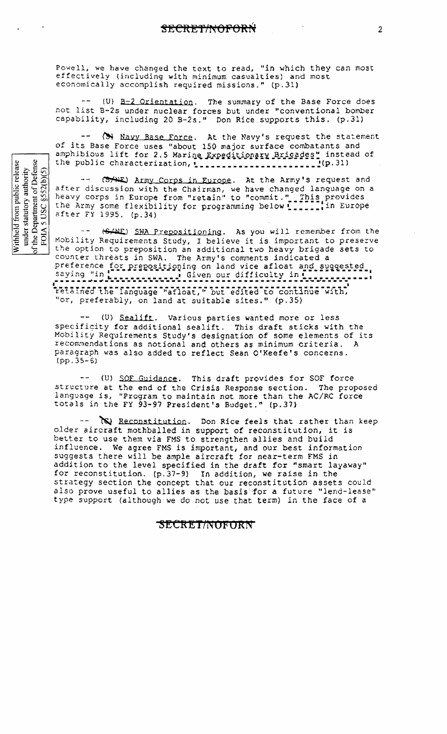Powell, we have changed the text to read, "in which they can most effectively (including with minimum casualties) and most economically accomplish required missions." (p.31)

 $(U)$   $B-2$  Orientation. The summary of the Base Force does not list B-2s under nuclear forces but under "conventional bomber capability, including 20 B-2s." Don Rice supports this. (p.31)

(>> Navy Base Force. At the Navy's request the statement of its Base Force uses "about 150 major surface combatants and amphibious lift for 2.5 Marine Expeditionary Brigades" instead of the public characterization, [ [ [ ] ] [ ] [ ] [ ] [ ] [ ] [ [ ] [ [ ] ] [ [ ] ] [ ] [ ] [ ] [ ] [ ] [ ] ] [ ] [ ] [ ] [ ] [ ] [ ] [ ] [ ] [ ] [ ] [ ] [ ] [ ] [ ] [ ] [ ] [ ] [ ] [ ] [ ] [ ] [ ] [ ] [ ] [ ] [ ] [ ] [ ] [ ]

(SAME) Army Corps in Europe. At the Army's request and after discussion with the Chairman, we have changed language on a heavy corps in Europe from "retain" to "commit." This provides<br>the Army some flexibility for programming below [[[[[[[[[[[]]]]] after FY 1995, (p.34)

(SANE) SWA Prepositioning. As you will remember from the Mobility Requirements Study, I believe it is important to preserve the option to preposition an additional two heavy brigade sets to counter threats in SWA. The Army's comments indicated a preference for prepositioning on land vice afloat and suggested. saying "in [[[[[[[[[[[[[]]]] Given our difficulty in [[[[[[[[[[[[[[]]]]] retained the language "afloat," but edited to continue with, "or, preferably, on land at suitable sites." (p.35)

(U) Sealift. Various parties wanted more or less specificity for additional sealift. This draft sticks with the Mobility Requirements Study's designation of some elements of its recommendations as notional and others as minimum criteria. A paragraph was also added to reflect Sean O'Keefe's concerns.  $(pp.35-6)$ 

-- (U) SOF Guidance. This draft provides for SOF force structure at the end of the Crisis Response section. The proposed language is, "Program to maintain not more than the AC/RC force totals in the FY 93-97 President's Budget." (p.37)

salam in No Reconstitution. Don Rice feels that rather than keep older aircraft mothballed in support of reconstitution, it is better to use them via FMS to strengthen allies and build influence. We agree FMS is important, and our best information suggests there will be ample aircraft for near-term FMS in addition to the level specified in the draft for "smart layaway" for reconstitution. (p.37-9) In addition, we raise in the strategy section the concept that our reconstitution assets could also prove useful to allies as the basis for a future "lend-lease" type support (although we do not use that term) in the face of a

#### SECRET/NOFORN

Withheld from public release<br>under statutory authority<br>of the Department of Defense<br>FOIA 5 USC §552(b)(5)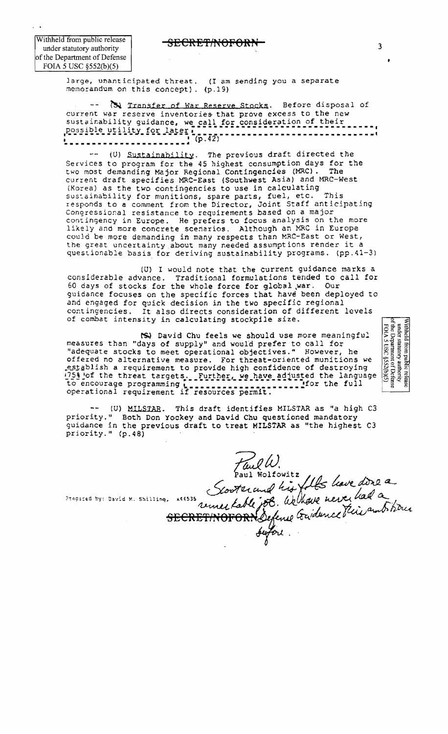**EXCREMENTORON** 

Withheld from public release under statutory authority of the Department of Defense FOIA 5 USC  $\S 52(b)(5)$ 

> large, unanticipated threat. (I am sending you a separate memorandum on this concept). (p.19)

(3) Transfer of War Reserve Stocks. Before disposal of current war reserve inventories that prove excess to the new sustainability guidance, we call for consideration of their 

(0) Sustainability. The previous draft directed the Services to program for the 45 highest consumption days for the two most demanding Major Regional Contingencies (MRC). The current draft specifies MRC-East (Southwest Asia) and MRC-West (Korea) as the two contingencies to use in calculating sustainability for munitions, spare parts, fuel, etc. This responds to a comment from the Director, Joint Staff anticipating Congressional resistance to requirements based on a major contingency in Europe. He prefers to focus analysis on the more likely and more concrete scenarios. Although an MRC in Europe could be more demanding in many respects than MRC-East or West, the great uncertainty about many needed assumptions render it a questionable basis for deriving sustainability programs. (pp. 41-3)

(U) I would note that the current guidance marks a considerable advance. Traditional formulations tended to call for 60 days of stocks for the whole force for global war. Our guidance focuses on the specific forces that have been deployed to and engaged for quick decision in the two specific regional contingencies. It also directs consideration of different levels of combat intensity in calculating stockpile size.

(S) David Chu feels we should use more meaningful measures than "days of supply" and would prefer to call for "adequate stocks to meet operational objectives." However, he offered no alternative measure. For threat-oriented munitions we establish a requirement to provide high confidence of destroying 1758 of the threat targets. Further, we have adjusted the language 

(U) MILSTAR. This draft identifies MILSTAR as "a high C3 priority." Both Don Yockey and David Chu questioned mandatory guidance in the previous draft to treat MILSTAR as "the highest C3 priority." (p.48)

Faul W.<br>Paul Wolfowitz fils lave done a<br>Presses by: David W. Shilling, x46535 rune table job. We there never had a

Withheld from public release<br>
under statutory authority<br>
of the Department of Defense<br>  $FOMS$  USC  $§$ 552(b)(5)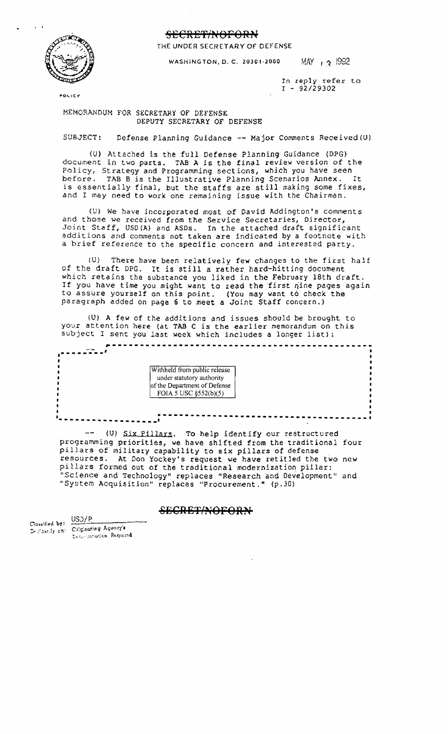#### **SECRET/NOFORN**



THE UNDER SECRETARY OF DEFENSE

WASHINGTON, D. C. 20301-2000 MAY ,  $\cdot$   $\frac{1992}{1}$ 

*In* reply refer to I - *92129302* 

**FOLICY** 

#### MEMORANDUM FOR SECRETARY OF DEFENSE DEPUTY SECRETARY OF D EFE NSE

SUBJECT: Defense Planning Guidance - Major Comments Received(U)

{U) Attached is the full Defense Planning Guidance (DPG) document in two parts. TAB A is the final review version of the Policy, Strategy and Programming sections, which you have seen before. TAB B is the Illustrative Planning Scenarios Annex. It is essentially final, but the staffs are still making some fixes, and I may need to work one remaining issue with the Chairman.

(U) We have incorporated most of David Addington's comments and those we received from the Service Secretaries, Director, Joint Staff, USD(A) and ASDs. In the attached draft significant additions and comments not taken are indicated by a footnote with a brief reference to the specific concern and interested party.

(U) There have been relatively few changes to the first half of the draft DPG. It is still a rather hard-hitting document which retains the substance you liked in the February 18th draft. If you have time you might want to read the first nine pages again to assure yourself on this point. (You may want to check the paragraph added on page 6 to meet a Joint Staff concern.)

(U) A few of the additions and issues should be brought to your attention here (at TAB C is the earlier memorandum on this subject I sent you last week which includes a longer list):

**.------.---'** Withheld from public release under statutory authority of the Department of Defense FOIA 5 USC §552(b)(5) **.**- .......... - .................. **....------------------------------------- <sup>I</sup>***r---------------------------.-----------------*

-- (U) Six Pillars. To help identify our restructured programming priorities, we have shifted from the traditional four pillars of military capability to six pillars of defense resources. At Don Yockey's request we have retitled the two new pillars formed out of the traditional modernization pillar: "Science and Technology" replaces "Research and Development" and "System Acquisition" replaces "Procurement." (p.30)

USD/P<br>The **SECRET/NOFOR** 

Clossified by: Declaredy on: Criginating Agency's t.t .- arection Required